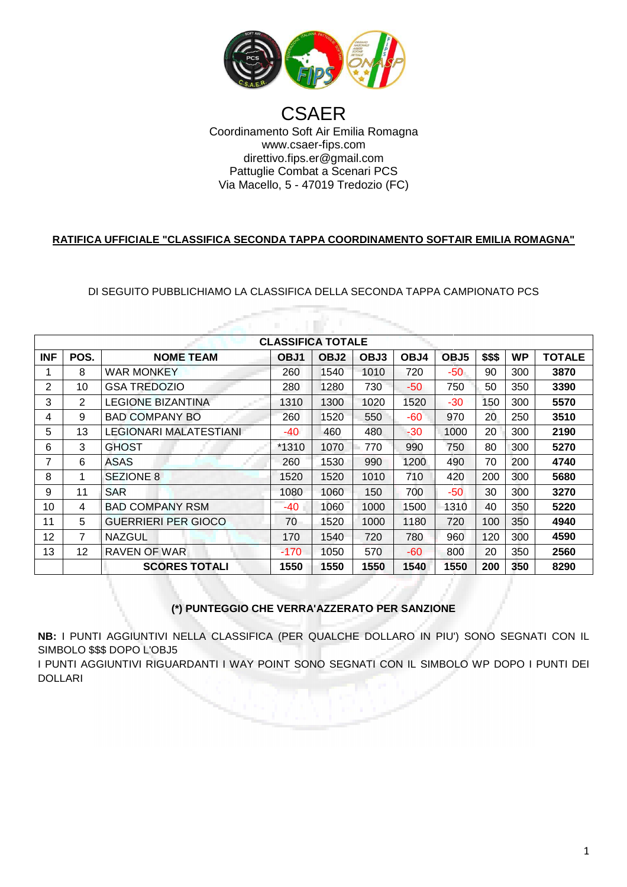

Coordinamento Soft Air Emilia Romagna Via Macello Macello, 5 - 47019 Tredozio (FC) **CSAER** www.csaer-fips.com direttivo.fips.er@gmail.com Pattuglie Combat a Scenari PCS

## **RATIFICA UFFICIALE "CLASSIFICA SECONDA TAPPA COORDINAMENTO SOFTAIR EMILIA ROMAGNA"**

DI SEGUITO PUBBLICHIAMO LA CLASSIFICA DELLA SECONDA TAPPA CAMPIONATO PCS

a ni K

| <b>CLASSIFICA TOTALE</b> |                |                        |       |                  |      |       |                  |        |           |               |  |  |  |
|--------------------------|----------------|------------------------|-------|------------------|------|-------|------------------|--------|-----------|---------------|--|--|--|
| <b>INF</b>               | POS.           | <b>NOME TEAM</b>       | OBJ1  | OBJ <sub>2</sub> | OBJ3 | OBJ4  | OBJ <sub>5</sub> | \$\$\$ | <b>WP</b> | <b>TOTALE</b> |  |  |  |
|                          | 8              | WAR MONKEY             | 260   | 1540             | 1010 | 720   | -50              | 90     | 300       | 3870          |  |  |  |
| 2                        | 10             | <b>GSA TREDOZIO</b>    | 280   | 1280             | 730  | -50   | 750              | 50     | 350       | 3390          |  |  |  |
| 3                        | $\overline{2}$ | LEGIONE BIZANTINA      | 1310  | 1300             | 1020 | 1520  | $-30$            | 150    | 300       | 5570          |  |  |  |
| 4                        | 9              | <b>BAD COMPANY BO</b>  | 260   | 1520             | 550  | $-60$ | 970              | 20     | 250       | 3510          |  |  |  |
| 5                        | 13             | LEGIONARI MALATESTIANI | -40   | 460              | 480  | $-30$ | 1000             | 20     | 300       | 2190          |  |  |  |
| 6                        | 3              | GHOST                  | *1310 | 1070             | 770  | 990   | 750              | 80     | 300       | 5270          |  |  |  |
| 7                        | 6              | <b>ASAS</b>            | 260   | 1530             | 990  | 1200  | 490              | 70     | 200       | 4740          |  |  |  |
| 8                        | 1              | <b>SEZIONE 8</b>       | 1520  | 1520             | 1010 | 710   | 420              | 200    | 300       | 5680          |  |  |  |
| 9                        | 11             | <b>SAR</b>             | 1080  | 1060             | 150  | 700   | $-50$            | 30     | 300       | 3270          |  |  |  |
| 10                       | 4              | <b>BAD COMPANY RSM</b> | -40   | 1060             | 1000 | 1500  | 1310             | 40     | 350       | 5220          |  |  |  |
| 11                       | 5              | GUERRIERI PER GIOCO    | 70    | 1520             | 1000 | 1180  | 720              | 100    | 350       | 4940          |  |  |  |
| 12                       | 7              | <b>NAZGUL</b>          | 170   | 1540             | 720  | 780   | 960              | 120    | 300       | 4590          |  |  |  |
| 13                       | 12             | RAVEN OF WAR           | -170  | 1050             | 570  | $-60$ | 800              | 20     | 350       | 2560          |  |  |  |
|                          |                | <b>SCORES TOTALI</b>   | 1550  | 1550             | 1550 | 1540  | 1550             | 200    | 350       | 8290          |  |  |  |

**(\*) PUNTEGGIO CHE VERRA'AZZERATO PER SANZIONE AZZERATO** 

**NB:** I PUNTI AGGIUNTIVI NELLA CLASSIFICA (PER QUALCHE DOLLARO IN PIU') SONO SEGNATI CON IL SIMBOLO \$\$\$ DOPO L'OBJ5

I PUNTI AGGIUNTIVI RIGUARDANTI I WAY POINT SONO SEGNATI CON IL SIMBOLO WP DOPO I PUNTI DEI DOLLARI